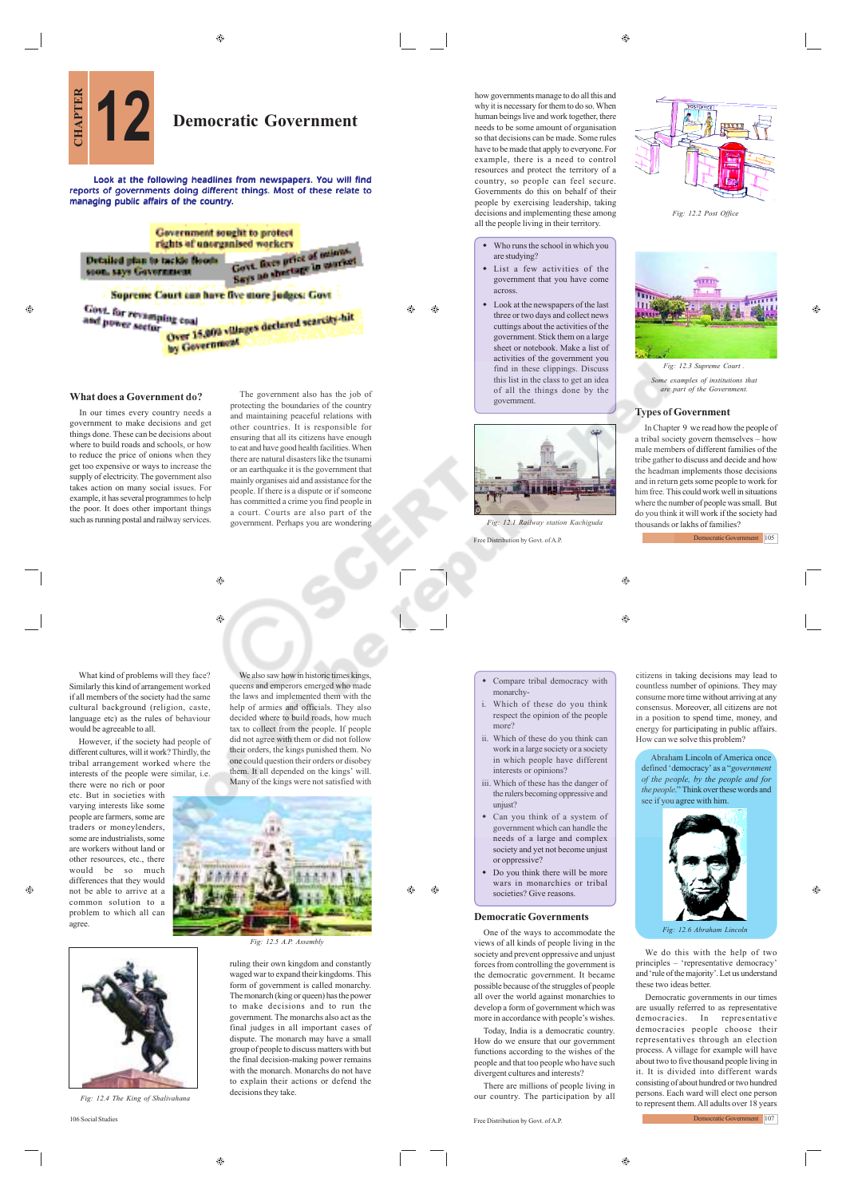$\triangle$  $\bigoplus$ 

Á Æ۵  $\bigcirc$ 



Look at the following headlines from newspapers. You will find reports of governments doing different things. Most of these relate to managing public affairs of the country.



ing coal<br>Over 16,000 villages declared scarcity-hit **By Government** 

# **What does a Government do?**

In our times every country needs a government to make decisions and get things done. These can be decisions about where to build roads and schools, or how to reduce the price of onions when they get too expensive or ways to increase the supply of electricity. The government also takes action on many social issues. For example, it has several programmes to help the poor. It does other important things such as running postal and railway services.

protecting the boundaries of the country and maintaining peaceful relations with other countries. It is responsible for ensuring that all its citizens have enough to eat and have good health facilities. When there are natural disasters like the tsunami or an earthquake it is the government that mainly organises aid and assistance for the people. If there is a dispute or if someone has committed a crime you find people in a court. Courts are also part of the government. Perhaps you are wondering

The government also has the job of

 $\qquad \qquad \textcircled{\scriptsize{9}}$ ۵

What kind of problems will they face? Similarly this kind of arrangement worked if all members of the society had the same cultural background (religion, caste, language etc) as the rules of behaviour would be agreeable to all.

However, if the society had people of different cultures, will it work? Thirdly, the tribal arrangement worked where the interests of the people were similar, i.e. there were no rich or poor

etc. But in societies with varying interests like some people are farmers, some are traders or moneylenders, some are industrialists, some are workers without land or other resources, etc., there would be so much differences that they would not be able to arrive at a common solution to a problem to which all can agree.

queens and emperors emerged who made the laws and implemented them with the help of armies and officials. They also decided where to build roads, how much tax to collect from the people. If people did not agree with them or did not follow their orders, the kings punished them. No one could question their orders or disobey them. It all depended on the kings' will. Many of the kings were not satisfied with

We also saw how in historic times kings,



*Fig: 12.5 A.P. Ass.* 

ruling their own kingdom and constantly waged war to expand their kingdoms. This form of government is called monarchy. The monarch (king or queen) has the power to make decisions and to run the government. The monarchs also act as the final judges in all important cases of dispute. The monarch may have a small group of people to discuss matters with but the final decision-making power remains with the monarch. Monarchs do not have to explain their actions or defend the decisions they take.

how governments manage to do all this and why it is necessary for them to do so. When human beings live and work together, there needs to be some amount of organisation so that decisions can be made. Some rules have to be made that apply to everyone. For example, there is a need to control resources and protect the territory of a country, so people can feel secure. Governments do this on behalf of their people by exercising leadership, taking decisions and implementing these among all the people living in their territory.

#### Who runs the school in which you are studying?

- List a few activities of the government that you have come across.
- Look at the newspapers of the last three or two days and collect news cuttings about the activities of the government. Stick them on a large sheet or notebook. Make a list of activities of the government you find in these clippings. Discuss this list in the class to get an idea of all the things done by the government.



Free Distribution by Govt. of A.P. *Fig: 12.1 Railway station Kachiguda*

 $\bigoplus$ 

- Compare tribal democracy with monarchy-
- i. Which of these do you think respect the opinion of the people more?
- ii. Which of these do you think can work in a large society or a society in which people have different interests or opinions?
- iii. Which of these has the danger of the rulers becoming oppressive and unjust?
- Can you think of a system of government which can handle the needs of a large and complex society and yet not become unjust or oppressive?
- Do you think there will be more wars in monarchies or tribal societies? Give reasons

### **Democratic Governments**

One of the ways to accommodate the views of all kinds of people living in the society and prevent oppressive and unjust forces from controlling the government is the democratic government. It became possible because of the struggles of people all over the world against monarchies to develop a form of government which was more in accordance with people's wishes.

Today, India is a democratic country. How do we ensure that our government functions according to the wishes of the people and that too people who have such divergent cultures and interests?

There are millions of people living in our country. The participation by all

106 Social Studies Free Distribution by Govt. of A.P.

*Fig: 12.2 Post Office*



*Fig: 12.3 Supreme Court . Some examples of institutions that are part of the Government.*

## **Types of Government**

In Chapter 9 we read how the people of a tribal society govern themselves – how male members of different families of the tribe gather to discuss and decide and how the headman implements those decisions and in return gets some people to work for him free. This could work well in situations where the number of people was small. But do you think it will work if the society had thousands or lakhs of families?

Democratic Government 105

 $\bigcirc$ 

citizens in taking decisions may lead to countless number of opinions. They may consume more time without arriving at any consensus. Moreover, all citizens are not in a position to spend time, money, and energy for participating in public affairs. How can we solve this problem?

Abraham Lincoln of America once defined 'democracy' as a "*government of the people, by the people and for the people*." Think over these words and see if you agree with him.



*Fig. 6. Abrah* 

We do this with the help of two principles – 'representative democracy' and 'rule of the majority'. Let us understand these two ideas better.

Democratic governments in our times are usually referred to as representative democracies. In representative democracies people choose their representatives through an election process. A village for example will have about two to five thousand people living in it. It is divided into different wards consisting of about hundred or two hundred persons. Each ward will elect one person to represent them. All adults over 18 years Democratic Government 107

 $\hat{\mathbf{e}}$ 



*Fig: 12.4 The King of Shalivahana*

A

♠

Ø.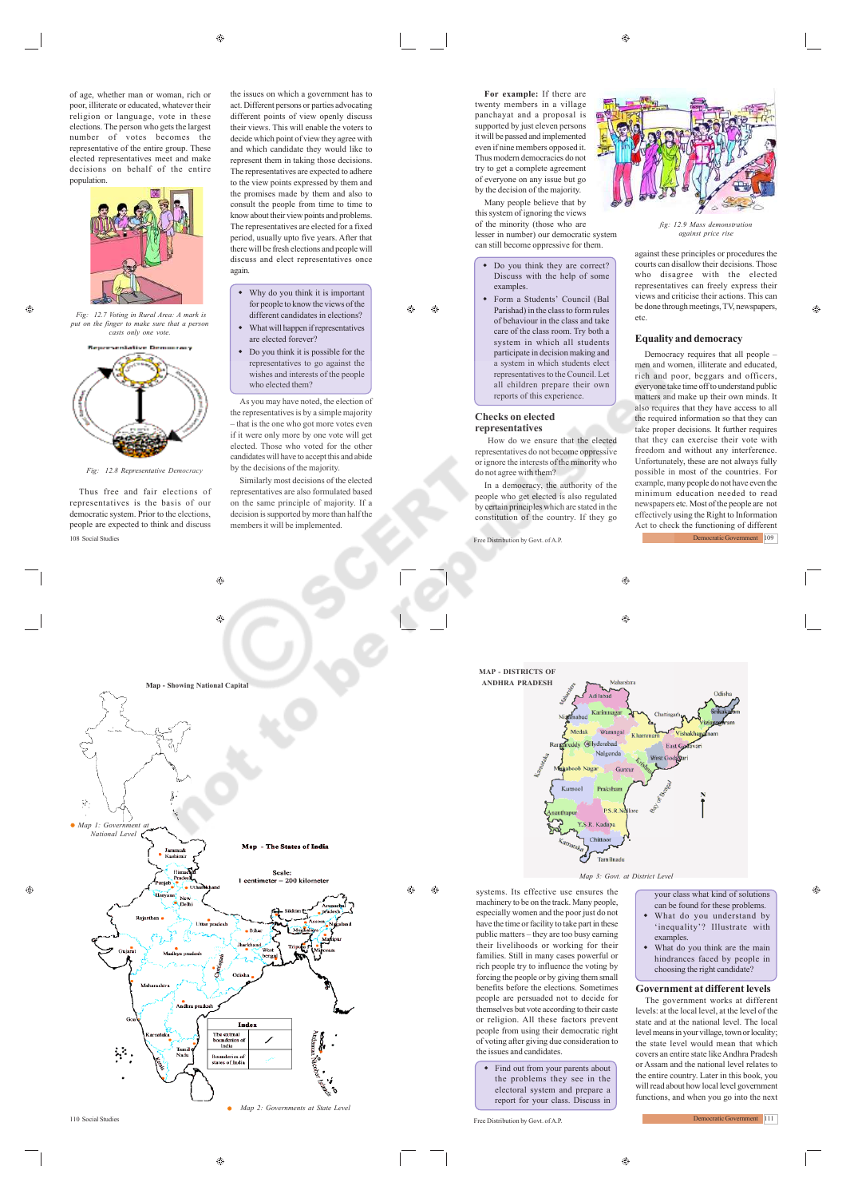$\bigoplus$ 

of age, whether man or woman, rich or poor, illiterate or educated, whatever their religion or language, vote in these elections. The person who gets the largest number of votes becomes the representative of the entire group. These elected representatives meet and make decisions on behalf of the entire population.



 *Fig: 12.7 Voting in Rural Area: A mark is put on the finger to make sure that a person casts only one vote.*



Fig: 12.8 Representative Den

Thus free and fair elections of representatives is the basis of our democratic system. Prior to the elections, people are expected to think and discuss 108 Social Studies Free Distribution by Govt. of A.P.

- the issues on which a government has to act. Different persons or parties advocating different points of view openly discuss their views. This will enable the voters to decide which point of view they agree with and which candidate they would like to represent them in taking those decisions. The representatives are expected to adhere to the view points expressed by them and the promises made by them and also to consult the people from time to time to know about their view points and problems. The representatives are elected for a fixed period, usually upto five years. After that there will be fresh elections and people will discuss and elect representatives once again.
- Why do you think it is important for people to know the views of the different candidates in elections?
- What will happen if representatives are elected forever? Do you think it is possible for the
- representatives to go against the wishes and interests of the people who elected them? As you may have noted, the election of

the representatives is by a simple majority – that is the one who got more votes even if it were only more by one vote will get elected. Those who voted for the other candidates will have to accept this and abide by the decisions of the majority. Similarly most decisions of the elected

representatives are also formulated based on the same principle of majority. If a decision is supported by more than half the members it will be implemented.

 $\hat{c}$ 

**For example:** If there are twenty members in a village panchayat and a proposal is supported by just eleven persons it will be passed and implemented even if nine members opposed it. Thus modern democracies do not try to get a complete agreement of everyone on any issue but go by the decision of the majority.

Many people believe that by this system of ignoring the views of the minority (those who are lesser in number) our democratic system can still become oppressive for them.

- Do you think they are correct? Discuss with the help of some examples.
- Form a Students' Council (Bal Parishad) in the class to form rules of behaviour in the class and take care of the class room. Try both a system in which all students participate in decision making and a system in which students elect representatives to the Council. Let all children prepare their own reports of this experience.

#### **Checks on elected representatives**

æ

 How do we ensure that the elected representatives do not become oppressive or ignore the interests of the minority who do not agree with them?

In a democracy, the authority of the people who get elected is also regulated by certain principles which are stated in the constitution of the country. If they go



*fig: 12.9 Mass demonstration against price rise*

against these principles or procedures the courts can disallow their decisions. Those who disagree with the elected representatives can freely express their views and criticise their actions. This can be done through meetings, TV, newspapers, etc.

A

## **Equality and democracy**

Democracy requires that all people – men and women, illiterate and educated rich and poor, beggars and officers, everyone take time off to understand public matters and make up their own minds. It also requires that they have access to all the required information so that they can take proper decisions. It further requires that they can exercise their vote with freedom and without any interference. Unfortunately, these are not always fully possible in most of the countries. For example, many people do not have even the minimum education needed to read newspapers etc. Most of the people are not effectively using the Right to Information Act to check the functioning of different Democratic Government 109

 $\bigoplus$  $\bigcirc$ 



- your class what kind of solutions can be found for these problems. What do you understand by 'inequality'? Illustrate with
- examples. What do you think are the main hindrances faced by people in choosing the right candidate?

### **Government at different levels**

The government works at different levels: at the local level, at the level of the state and at the national level. The local level means in your village, town or locality; the state level would mean that which covers an entire state like Andhra Pradesh or Assam and the national level relates to the entire country. Later in this book, you will read about how local level government functions, and when you go into the next

Democratic Government 111



⊕

110 Social Studie

 $\oplus$ 

 $^{\circ}$ 

Free Distribution by Govt. of A.P.

the issues and candidates.

• Find out from your parents about the problems they see in the electoral system and prepare a report for your class. Discuss in

machinery to be on the track. Many people, especially women and the poor just do not have the time or facility to take part in these public matters – they are too busy earning their livelihoods or working for their families. Still in many cases powerful or rich people try to influence the voting by forcing the people or by giving them small benefits before the elections. Sometimes people are persuaded not to decide for themselves but vote according to their caste or religion. All these factors prevent people from using their democratic right of voting after giving due consideration to ♠

- 
- 
-